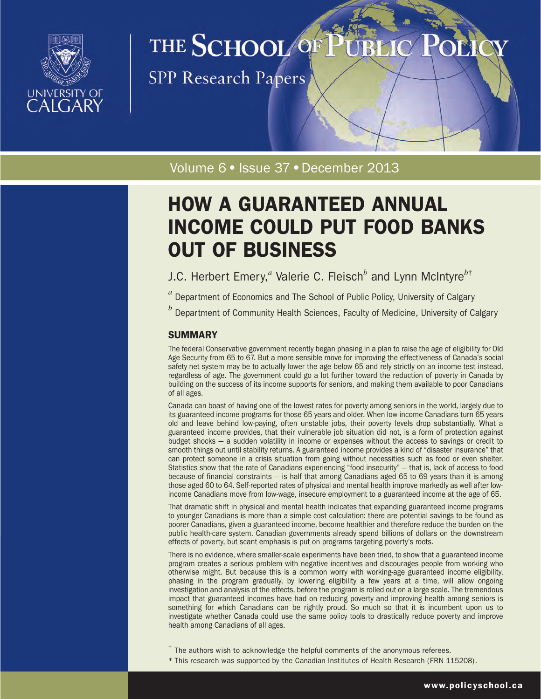

# THE SCHOOL OF

**SPP Research Papers** 

Volume 6 · Issue 37 · December 2013

# HOW A GUARANTEED ANNUAL INCOME COULD PUT FOOD BANKS OUT OF BUSINESS

J.C. Herbert Emery,*<sup>a</sup>* Valerie C. Fleisch*<sup>b</sup>* and Lynn McIntyre*<sup>b</sup>*†

*<sup>a</sup>* Department of Economics and The School of Public Policy, University of Calgary

*<sup>b</sup>* Department of Community Health Sciences, Faculty of Medicine, University of Calgary

# **SUMMARY**

The federal Conservative government recently began phasing in a plan to raise the age of eligibility for Old Age Security from 65 to 67. But a more sensible move for improving the effectiveness of Canada's social safety-net system may be to actually lower the age below 65 and rely strictly on an income test instead, regardless of age. The government could go a lot further toward the reduction of poverty in Canada by building on the success of its income supports for seniors, and making them available to poor Canadians of all ages.

Canada can boast of having one of the lowest rates for poverty among seniors in the world, largely due to its guaranteed income programs for those 65 years and older. When low-income Canadians turn 65 years old and leave behind low-paying, often unstable jobs, their poverty levels drop substantially. What a guaranteed income provides, that their vulnerable job situation did not, is a form of protection against budget shocks — a sudden volatility in income or expenses without the access to savings or credit to smooth things out until stability returns. A guaranteed income provides a kind of "disaster insurance" that can protect someone in a crisis situation from going without necessities such as food or even shelter. Statistics show that the rate of Canadians experiencing "food insecurity" — that is, lack of access to food because of financial constraints — is half that among Canadians aged 65 to 69 years than it is among those aged 60 to 64. Self-reported rates of physical and mental health improve markedly as well after lowincome Canadians move from low-wage, insecure employment to a guaranteed income at the age of 65.

That dramatic shift in physical and mental health indicates that expanding guaranteed income programs to younger Canadians is more than a simple cost calculation: there are potential savings to be found as poorer Canadians, given a guaranteed income, become healthier and therefore reduce the burden on the public health-care system. Canadian governments already spend billions of dollars on the downstream effects of poverty, but scant emphasis is put on programs targeting poverty's roots.

There is no evidence, where smaller-scale experiments have been tried, to show that a guaranteed income program creates a serious problem with negative incentives and discourages people from working who otherwise might. But because this is a common worry with working-age guaranteed income eligibility, phasing in the program gradually, by lowering eligibility a few years at a time, will allow ongoing investigation and analysis of the effects, before the program is rolled out on a large scale. The tremendous impact that guaranteed incomes have had on reducing poverty and improving health among seniors is something for which Canadians can be rightly proud. So much so that it is incumbent upon us to investigate whether Canada could use the same policy tools to drastically reduce poverty and improve health among Canadians of all ages.

\* This research was supported by the Canadian Institutes of Health Research (FRN 115208).

 $<sup>†</sup>$  The authors wish to acknowledge the helpful comments of the anonymous referees.</sup>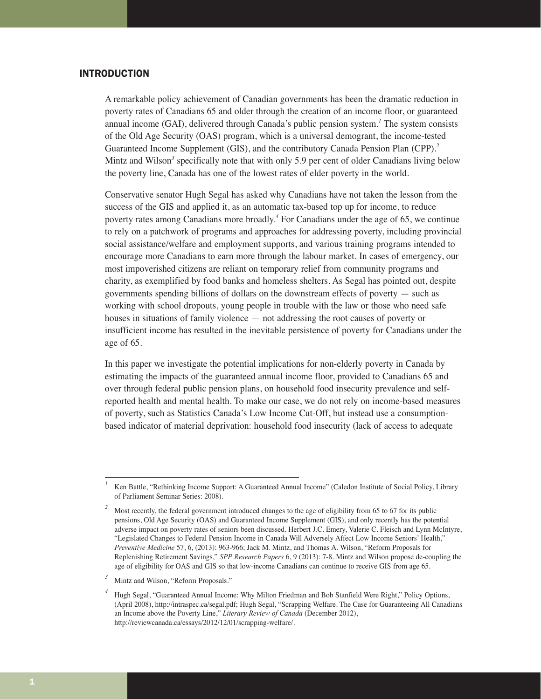## INTRODUCTION

A remarkable policy achievement of Canadian governments has been the dramatic reduction in poverty rates of Canadians 65 and older through the creation of an income floor, or guaranteed annual income (GAI), delivered through Canada's public pension system.*<sup>1</sup>* The system consists of the Old Age Security (OAS) program, which is a universal demogrant, the income-tested Guaranteed Income Supplement (GIS), and the contributory Canada Pension Plan (CPP).*<sup>2</sup>* Mintz and Wilson<sup>3</sup> specifically note that with only 5.9 per cent of older Canadians living below the poverty line, Canada has one of the lowest rates of elder poverty in the world.

Conservative senator Hugh Segal has asked why Canadians have not taken the lesson from the success of the GIS and applied it, as an automatic tax-based top up for income, to reduce poverty rates among Canadians more broadly.*<sup>4</sup>* For Canadians under the age of 65, we continue to rely on a patchwork of programs and approaches for addressing poverty, including provincial social assistance/welfare and employment supports, and various training programs intended to encourage more Canadians to earn more through the labour market. In cases of emergency, our most impoverished citizens are reliant on temporary relief from community programs and charity, as exemplified by food banks and homeless shelters. As Segal has pointed out, despite governments spending billions of dollars on the downstream effects of poverty — such as working with school dropouts, young people in trouble with the law or those who need safe houses in situations of family violence — not addressing the root causes of poverty or insufficient income has resulted in the inevitable persistence of poverty for Canadians under the age of 65.

In this paper we investigate the potential implications for non-elderly poverty in Canada by estimating the impacts of the guaranteed annual income floor, provided to Canadians 65 and over through federal public pension plans, on household food insecurity prevalence and selfreported health and mental health. To make our case, we do not rely on income-based measures of poverty, such as Statistics Canada's Low Income Cut-Off, but instead use a consumptionbased indicator of material deprivation: household food insecurity (lack of access to adequate

*<sup>1</sup>* Ken Battle, "Rethinking Income Support: A Guaranteed Annual Income" (Caledon Institute of Social Policy, Library of Parliament Seminar Series: 2008).

<sup>&</sup>lt;sup>2</sup> Most recently, the federal government introduced changes to the age of eligibility from 65 to 67 for its public pensions, Old Age Security (OAS) and Guaranteed Income Supplement (GIS), and only recently has the potential adverse impact on poverty rates of seniors been discussed. Herbert J.C. Emery, Valerie C. Fleisch and Lynn McIntyre, "Legislated Changes to Federal Pension Income in Canada Will Adversely Affect Low Income Seniors' Health," *Preventive Medicine* 57, 6, (2013): 963-966; Jack M. Mintz, and Thomas A. Wilson, "Reform Proposals for Replenishing Retirement Savings," *SPP Research Papers* 6, 9 (2013): 7-8. Mintz and Wilson propose de-coupling the age of eligibility for OAS and GIS so that low-income Canadians can continue to receive GIS from age 65.

*<sup>3</sup>* Mintz and Wilson, "Reform Proposals."

*<sup>4</sup>* Hugh Segal, "Guaranteed Annual Income: Why Milton Friedman and Bob Stanfield Were Right," Policy Options, (April 2008), http://intraspec.ca/segal.pdf; Hugh Segal, "Scrapping Welfare. The Case for Guaranteeing All Canadians an Income above the Poverty Line," *Literary Review of Canada* (December 2012), http://reviewcanada.ca/essays/2012/12/01/scrapping-welfare/.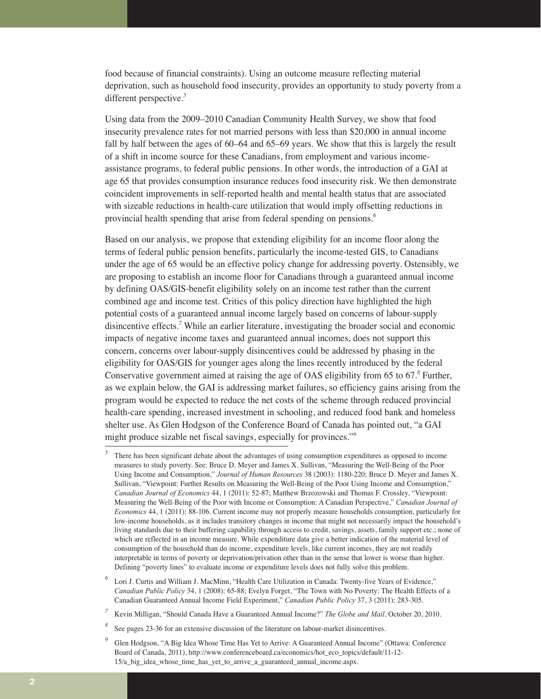food because of financial constraints). Using an outcome measure reflecting material deprivation, such as household food insecurity, provides an opportunity to study poverty from a different perspective.*<sup>5</sup>*

Using data from the 2009–2010 Canadian Community Health Survey, we show that food insecurity prevalence rates for not married persons with less than \$20,000 in annual income fall by half between the ages of 60–64 and 65–69 years. We show that this is largely the result of a shift in income source for these Canadians, from employment and various incomeassistance programs, to federal public pensions. In other words, the introduction of a GAI at age 65 that provides consumption insurance reduces food insecurity risk. We then demonstrate coincident improvements in self-reported health and mental health status that are associated with sizeable reductions in health-care utilization that would imply offsetting reductions in provincial health spending that arise from federal spending on pensions.*<sup>6</sup>*

Based on our analysis, we propose that extending eligibility for an income floor along the terms of federal public pension benefits, particularly the income-tested GIS, to Canadians under the age of 65 would be an effective policy change for addressing poverty. Ostensibly, we are proposing to establish an income floor for Canadians through a guaranteed annual income by defining OAS/GIS-benefit eligibility solely on an income test rather than the current combined age and income test. Critics of this policy direction have highlighted the high potential costs of a guaranteed annual income largely based on concerns of labour-supply disincentive effects.*<sup>7</sup>* While an earlier literature, investigating the broader social and economic impacts of negative income taxes and guaranteed annual incomes, does not support this concern, concerns over labour-supply disincentives could be addressed by phasing in the eligibility for OAS/GIS for younger ages along the lines recently introduced by the federal Conservative government aimed at raising the age of OAS eligibility from 65 to 67.*<sup>8</sup>* Further, as we explain below, the GAI is addressing market failures, so efficiency gains arising from the program would be expected to reduce the net costs of the scheme through reduced provincial health-care spending, increased investment in schooling, and reduced food bank and homeless shelter use. As Glen Hodgson of the Conference Board of Canada has pointed out, "a GAI might produce sizable net fiscal savings, especially for provinces."*<sup>9</sup>*

*<sup>5</sup>* There has been significant debate about the advantages of using consumption expenditures as opposed to income measures to study poverty. See: Bruce D. Meyer and James X. Sullivan, "Measuring the Well-Being of the Poor Using Income and Consumption," *Journal of Human Resources* 38 (2003): 1180-220; Bruce D. Meyer and James X. Sullivan, "Viewpoint: Further Results on Measuring the Well-Being of the Poor Using Income and Consumption," *Canadian Journal of Economics* 44, 1 (2011): 52-87; Matthew Brzozowski and Thomas F. Crossley, "Viewpoint: Measuring the Well-Being of the Poor with Income or Consumption: A Canadian Perspective," *Canadian Journal of Economics* 44, 1 (2011): 88-106. Current income may not properly measure households consumption, particularly for low-income households, as it includes transitory changes in income that might not necessarily impact the household's living standards due to their buffering capability through access to credit, savings, assets, family support etc.; none of which are reflected in an income measure. While expenditure data give a better indication of the material level of consumption of the household than do income, expenditure levels, like current incomes, they are not readily interpretable in terms of poverty or deprivation/privation other than in the sense that lower is worse than higher. Defining "poverty lines" to evaluate income or expenditure levels does not fully solve this problem.

Lori J. Curtis and William J. MacMinn, "Health Care Utilization in Canada: Twenty-five Years of Evidence," *Canadian Public Policy* 34, 1 (2008): 65-88; Evelyn Forget, "The Town with No Poverty: The Health Effects of a Canadian Guaranteed Annual Income Field Experiment," *Canadian Public Policy* 37, 3 (2011): 283-305.

*<sup>7</sup>* Kevin Milligan, "Should Canada Have a Guaranteed Annual Income?" *The Globe and Mail*, October 20, 2010.

*<sup>8</sup>* See pages 23-36 for an extensive discussion of the literature on labour-market disincentives.

*<sup>9</sup>* Glen Hodgson, "A Big Idea Whose Time Has Yet to Arrive: A Guaranteed Annual Income" (Ottawa: Conference Board of Canada, 2011), http://www.conferenceboard.ca/economics/hot\_eco\_topics/default/11-12- 15/a big\_idea\_whose\_time\_has\_yet\_to\_arrive\_a\_guaranteed\_annual\_income.aspx.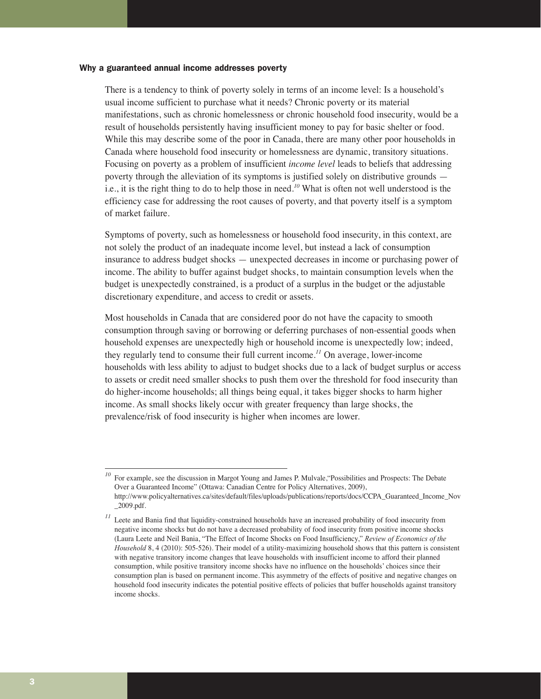#### Why a guaranteed annual income addresses poverty

There is a tendency to think of poverty solely in terms of an income level: Is a household's usual income sufficient to purchase what it needs? Chronic poverty or its material manifestations, such as chronic homelessness or chronic household food insecurity, would be a result of households persistently having insufficient money to pay for basic shelter or food. While this may describe some of the poor in Canada, there are many other poor households in Canada where household food insecurity or homelessness are dynamic, transitory situations. Focusing on poverty as a problem of insufficient *income level* leads to beliefs that addressing poverty through the alleviation of its symptoms is justified solely on distributive grounds i.e., it is the right thing to do to help those in need.*<sup>10</sup>* What is often not well understood is the efficiency case for addressing the root causes of poverty, and that poverty itself is a symptom of market failure.

Symptoms of poverty, such as homelessness or household food insecurity, in this context, are not solely the product of an inadequate income level, but instead a lack of consumption insurance to address budget shocks — unexpected decreases in income or purchasing power of income. The ability to buffer against budget shocks, to maintain consumption levels when the budget is unexpectedly constrained, is a product of a surplus in the budget or the adjustable discretionary expenditure, and access to credit or assets.

Most households in Canada that are considered poor do not have the capacity to smooth consumption through saving or borrowing or deferring purchases of non-essential goods when household expenses are unexpectedly high or household income is unexpectedly low; indeed, they regularly tend to consume their full current income.*<sup>11</sup>* On average, lower-income households with less ability to adjust to budget shocks due to a lack of budget surplus or access to assets or credit need smaller shocks to push them over the threshold for food insecurity than do higher-income households; all things being equal, it takes bigger shocks to harm higher income. As small shocks likely occur with greater frequency than large shocks, the prevalence/risk of food insecurity is higher when incomes are lower.

For example, see the discussion in Margot Young and James P. Mulvale, "Possibilities and Prospects: The Debate Over a Guaranteed Income" (Ottawa: Canadian Centre for Policy Alternatives, 2009), http://www.policyalternatives.ca/sites/default/files/uploads/publications/reports/docs/CCPA\_Guaranteed\_Income\_Nov \_2009.pdf.

*<sup>11</sup>* Leete and Bania find that liquidity-constrained households have an increased probability of food insecurity from negative income shocks but do not have a decreased probability of food insecurity from positive income shocks (Laura Leete and Neil Bania, "The Effect of Income Shocks on Food Insufficiency," *Review of Economics of the Household* 8, 4 (2010): 505-526). Their model of a utility-maximizing household shows that this pattern is consistent with negative transitory income changes that leave households with insufficient income to afford their planned consumption, while positive transitory income shocks have no influence on the households' choices since their consumption plan is based on permanent income. This asymmetry of the effects of positive and negative changes on household food insecurity indicates the potential positive effects of policies that buffer households against transitory income shocks.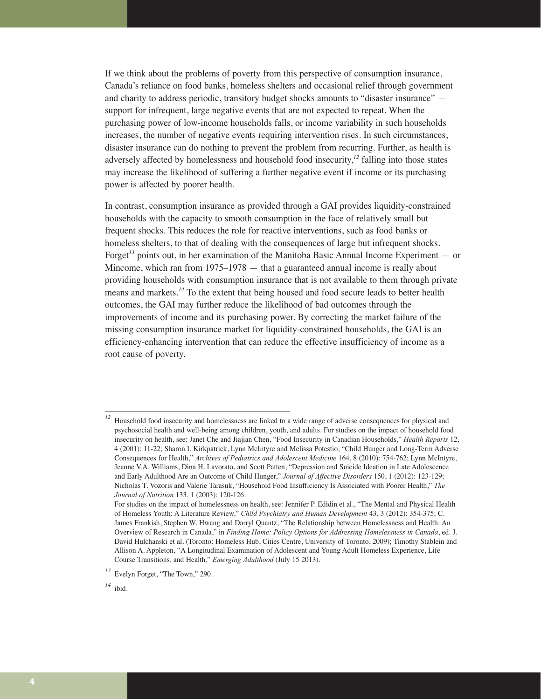If we think about the problems of poverty from this perspective of consumption insurance, Canada's reliance on food banks, homeless shelters and occasional relief through government and charity to address periodic, transitory budget shocks amounts to "disaster insurance" support for infrequent, large negative events that are not expected to repeat. When the purchasing power of low-income households falls, or income variability in such households increases, the number of negative events requiring intervention rises. In such circumstances, disaster insurance can do nothing to prevent the problem from recurring. Further, as health is adversely affected by homelessness and household food insecurity,*<sup>12</sup>* falling into those states may increase the likelihood of suffering a further negative event if income or its purchasing power is affected by poorer health.

In contrast, consumption insurance as provided through a GAI provides liquidity-constrained households with the capacity to smooth consumption in the face of relatively small but frequent shocks. This reduces the role for reactive interventions, such as food banks or homeless shelters, to that of dealing with the consequences of large but infrequent shocks. Forget*<sup>13</sup>* points out, in her examination of the Manitoba Basic Annual Income Experiment — or Mincome, which ran from 1975–1978 — that a guaranteed annual income is really about providing households with consumption insurance that is not available to them through private means and markets.*<sup>14</sup>* To the extent that being housed and food secure leads to better health outcomes, the GAI may further reduce the likelihood of bad outcomes through the improvements of income and its purchasing power. By correcting the market failure of the missing consumption insurance market for liquidity-constrained households, the GAI is an efficiency-enhancing intervention that can reduce the effective insufficiency of income as a root cause of poverty.

<sup>&</sup>lt;sup>12</sup> Household food insecurity and homelessness are linked to a wide range of adverse consequences for physical and psychosocial health and well-being among children, youth, and adults. For studies on the impact of household food insecurity on health, see: Janet Che and Jiajian Chen, "Food Insecurity in Canadian Households," *Health Reports* 12, 4 (2001): 11-22; Sharon I. Kirkpatrick, Lynn McIntyre and Melissa Potestio, "Child Hunger and Long-Term Adverse Consequences for Health," *Archives of Pediatrics and Adolescent Medicine* 164, 8 (2010): 754-762; Lynn McIntyre, Jeanne V.A. Williams, Dina H. Lavorato, and Scott Patten, "Depression and Suicide Ideation in Late Adolescence and Early Adulthood Are an Outcome of Child Hunger," *Journal of Affective Disorders* 150, 1 (2012): 123-129; Nicholas T. Vozoris and Valerie Tarasuk, "Household Food Insufficiency Is Associated with Poorer Health," *The Journal of Nutrition* 133, 1 (2003): 120-126.

For studies on the impact of homelessness on health, see: Jennifer P. Edidin et al., "The Mental and Physical Health of Homeless Youth: A Literature Review," *Child Psychiatry and Human Development* 43, 3 (2012): 354-375; C. James Frankish, Stephen W. Hwang and Darryl Quantz, "The Relationship between Homelessness and Health: An Overview of Research in Canada," in *Finding Home: Policy Options for Addressing Homelessness in Canada*, ed. J. David Hulchanski et al. (Toronto: Homeless Hub, Cities Centre, University of Toronto, 2009); Timothy Stablein and Allison A. Appleton, "A Longitudinal Examination of Adolescent and Young Adult Homeless Experience, Life Course Transitions, and Health," *Emerging Adulthood* (July 15 2013).

*<sup>13</sup>* Evelyn Forget, "The Town," 290.

*<sup>14</sup>* ibid.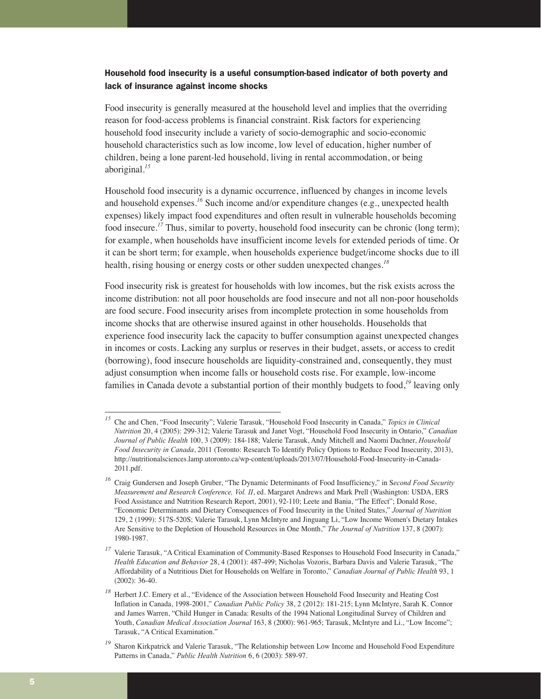# Household food insecurity is a useful consumption-based indicator of both poverty and lack of insurance against income shocks

Food insecurity is generally measured at the household level and implies that the overriding reason for food-access problems is financial constraint. Risk factors for experiencing household food insecurity include a variety of socio-demographic and socio-economic household characteristics such as low income, low level of education, higher number of children, being a lone parent-led household, living in rental accommodation, or being aboriginal.*<sup>15</sup>*

Household food insecurity is a dynamic occurrence, influenced by changes in income levels and household expenses.*<sup>16</sup>* Such income and/or expenditure changes (e.g., unexpected health expenses) likely impact food expenditures and often result in vulnerable households becoming food insecure.*<sup>17</sup>* Thus, similar to poverty, household food insecurity can be chronic (long term); for example, when households have insufficient income levels for extended periods of time. Or it can be short term; for example, when households experience budget/income shocks due to ill health, rising housing or energy costs or other sudden unexpected changes.*<sup>18</sup>*

Food insecurity risk is greatest for households with low incomes, but the risk exists across the income distribution: not all poor households are food insecure and not all non-poor households are food secure. Food insecurity arises from incomplete protection in some households from income shocks that are otherwise insured against in other households. Households that experience food insecurity lack the capacity to buffer consumption against unexpected changes in incomes or costs. Lacking any surplus or reserves in their budget, assets, or access to credit (borrowing), food insecure households are liquidity-constrained and, consequently, they must adjust consumption when income falls or household costs rise. For example, low-income families in Canada devote a substantial portion of their monthly budgets to food,*<sup>19</sup>* leaving only

*<sup>15</sup>* Che and Chen, "Food Insecurity"; Valerie Tarasuk, "Household Food Insecurity in Canada," *Topics in Clinical Nutrition* 20, 4 (2005): 299-312; Valerie Tarasuk and Janet Vogt, "Household Food Insecurity in Ontario," *Canadian Journal of Public Health* 100, 3 (2009): 184-188; Valerie Tarasuk, Andy Mitchell and Naomi Dachner, *Household Food Insecurity in Canada*, 2011 (Toronto: Research To Identify Policy Options to Reduce Food Insecurity, 2013), http://nutritionalsciences.lamp.utoronto.ca/wp-content/uploads/2013/07/Household-Food-Insecurity-in-Canada-2011.pdf.

*<sup>16</sup>* Craig Gundersen and Joseph Gruber, "The Dynamic Determinants of Food Insufficiency," in S*econd Food Security Measurement and Research Conference, Vol. II*, ed. Margaret Andrews and Mark Prell (Washington: USDA, ERS Food Assistance and Nutrition Research Report, 2001), 92-110; Leete and Bania, "The Effect"; Donald Rose, "Economic Determinants and Dietary Consequences of Food Insecurity in the United States," *Journal of Nutrition* 129, 2 (1999): 517S-520S; Valerie Tarasuk, Lynn McIntyre and Jinguang Li, "Low Income Women's Dietary Intakes Are Sensitive to the Depletion of Household Resources in One Month," *The Journal of Nutrition* 137, 8 (2007): 1980-1987.

*<sup>17</sup>* Valerie Tarasuk, "A Critical Examination of Community-Based Responses to Household Food Insecurity in Canada," *Health Education and Behavior* 28, 4 (2001): 487-499; Nicholas Vozoris, Barbara Davis and Valerie Tarasuk, "The Affordability of a Nutritious Diet for Households on Welfare in Toronto," *Canadian Journal of Public Health* 93, 1 (2002): 36-40.

*<sup>18</sup>* Herbert J.C. Emery et al., "Evidence of the Association between Household Food Insecurity and Heating Cost Inflation in Canada, 1998-2001," *Canadian Public Policy* 38, 2 (2012): 181-215; Lynn McIntyre, Sarah K. Connor and James Warren, "Child Hunger in Canada: Results of the 1994 National Longitudinal Survey of Children and Youth, *Canadian Medical Association Journal* 163, 8 (2000): 961-965; Tarasuk, McIntyre and Li., "Low Income"; Tarasuk, "A Critical Examination."

*<sup>19</sup>* Sharon Kirkpatrick and Valerie Tarasuk, "The Relationship between Low Income and Household Food Expenditure Patterns in Canada," *Public Health Nutrition* 6, 6 (2003): 589-97.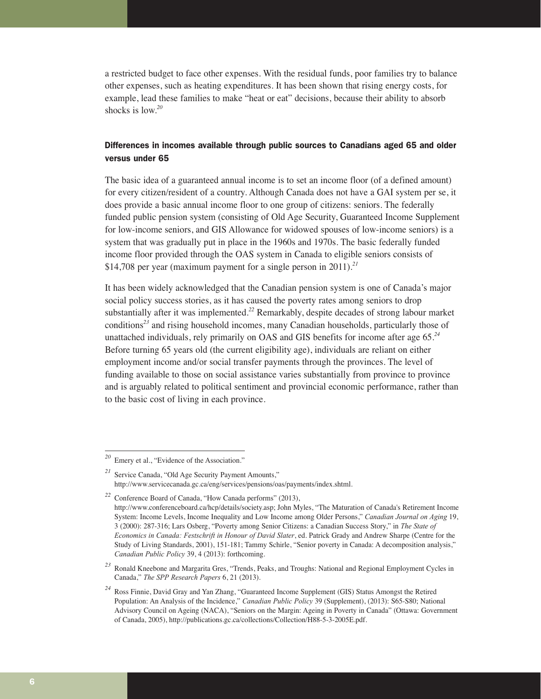a restricted budget to face other expenses. With the residual funds, poor families try to balance other expenses, such as heating expenditures. It has been shown that rising energy costs, for example, lead these families to make "heat or eat" decisions, because their ability to absorb shocks is low.*<sup>20</sup>*

# Differences in incomes available through public sources to Canadians aged 65 and older versus under 65

The basic idea of a guaranteed annual income is to set an income floor (of a defined amount) for every citizen/resident of a country. Although Canada does not have a GAI system per se, it does provide a basic annual income floor to one group of citizens: seniors. The federally funded public pension system (consisting of Old Age Security, Guaranteed Income Supplement for low-income seniors, and GIS Allowance for widowed spouses of low-income seniors) is a system that was gradually put in place in the 1960s and 1970s. The basic federally funded income floor provided through the OAS system in Canada to eligible seniors consists of \$14,708 per year (maximum payment for a single person in 2011).*<sup>21</sup>*

It has been widely acknowledged that the Canadian pension system is one of Canada's major social policy success stories, as it has caused the poverty rates among seniors to drop substantially after it was implemented.*<sup>22</sup>* Remarkably, despite decades of strong labour market conditions*<sup>23</sup>* and rising household incomes, many Canadian households, particularly those of unattached individuals, rely primarily on OAS and GIS benefits for income after age 65.*<sup>24</sup>* Before turning 65 years old (the current eligibility age), individuals are reliant on either employment income and/or social transfer payments through the provinces. The level of funding available to those on social assistance varies substantially from province to province and is arguably related to political sentiment and provincial economic performance, rather than to the basic cost of living in each province.

*<sup>20</sup>* Emery et al., "Evidence of the Association."

*<sup>21</sup>* Service Canada, "Old Age Security Payment Amounts," http://www.servicecanada.gc.ca/eng/services/pensions/oas/payments/index.shtml.

*<sup>22</sup>* Conference Board of Canada, "How Canada performs" (2013), http://www.conferenceboard.ca/hcp/details/society.asp; John Myles, "The Maturation of Canada's Retirement Income System: Income Levels, Income Inequality and Low Income among Older Persons," *Canadian Journal on Aging* 19, 3 (2000): 287-316; Lars Osberg, "Poverty among Senior Citizens: a Canadian Success Story," in *The State of Economics in Canada: Festschrift in Honour of David Slater*, ed. Patrick Grady and Andrew Sharpe (Centre for the Study of Living Standards, 2001), 151-181; Tammy Schirle, "Senior poverty in Canada: A decomposition analysis," *Canadian Public Policy* 39, 4 (2013): forthcoming.

*<sup>23</sup>* Ronald Kneebone and Margarita Gres, "Trends, Peaks, and Troughs: National and Regional Employment Cycles in Canada," *The SPP Research Papers* 6, 21 (2013).

*<sup>24</sup>* Ross Finnie, David Gray and Yan Zhang, "Guaranteed Income Supplement (GIS) Status Amongst the Retired Population: An Analysis of the Incidence," *Canadian Public Policy* 39 (Supplement), (2013): S65-S80; National Advisory Council on Ageing (NACA), "Seniors on the Margin: Ageing in Poverty in Canada" (Ottawa: Government of Canada, 2005), http://publications.gc.ca/collections/Collection/H88-5-3-2005E.pdf.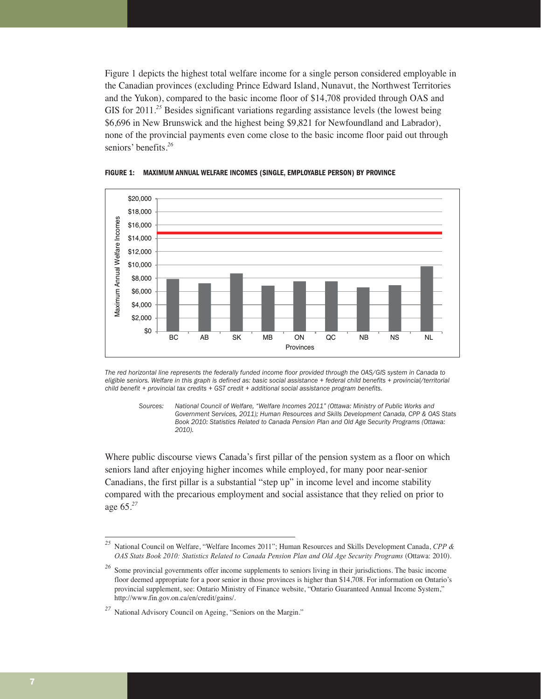Figure 1 depicts the highest total welfare income for a single person considered employable in the Canadian provinces (excluding Prince Edward Island, Nunavut, the Northwest Territories and the Yukon), compared to the basic income floor of \$14,708 provided through OAS and GIS for 2011<sup>25</sup> Besides significant variations regarding assistance levels (the lowest being \$6,696 in New Brunswick and the highest being \$9,821 for Newfoundland and Labrador), none of the provincial payments even come close to the basic income floor paid out through seniors' benefits.*<sup>26</sup>*



**FIGURE 1: MAXIMUM ANNUAL WELFARE INCOMES (SINGLE, EMPLOYABLE PERSON) BY PROVINCE**

*The red horizontal line represents the federally funded income floor provided through the OAS/GIS system in Canada to eligible seniors. Welfare in this graph is defined as: basic social assistance + federal child benefits + provincial/territorial child benefit + provincial tax credits + GST credit + additional social assistance program benefits.* 

*Sources: National Council of Welfare, "Welfare Incomes 2011" (Ottawa: Ministry of Public Works and Government Services, 2011); Human Resources and Skills Development Canada, CPP & OAS Stats Book 2010: Statistics Related to Canada Pension Plan and Old Age Security Programs (Ottawa: 2010).* 

Where public discourse views Canada's first pillar of the pension system as a floor on which seniors land after enjoying higher incomes while employed, for many poor near-senior Canadians, the first pillar is a substantial "step up" in income level and income stability compared with the precarious employment and social assistance that they relied on prior to age 65.*<sup>27</sup>*

*<sup>25</sup>* National Council on Welfare, "Welfare Incomes 2011"; Human Resources and Skills Development Canada, *CPP & OAS Stats Book 2010: Statistics Related to Canada Pension Plan and Old Age Security Programs* (Ottawa: 2010).

<sup>&</sup>lt;sup>26</sup> Some provincial governments offer income supplements to seniors living in their jurisdictions. The basic income floor deemed appropriate for a poor senior in those provinces is higher than \$14,708. For information on Ontario's provincial supplement, see: Ontario Ministry of Finance website, "Ontario Guaranteed Annual Income System," http://www.fin.gov.on.ca/en/credit/gains/.

*<sup>27</sup>* National Advisory Council on Ageing, "Seniors on the Margin."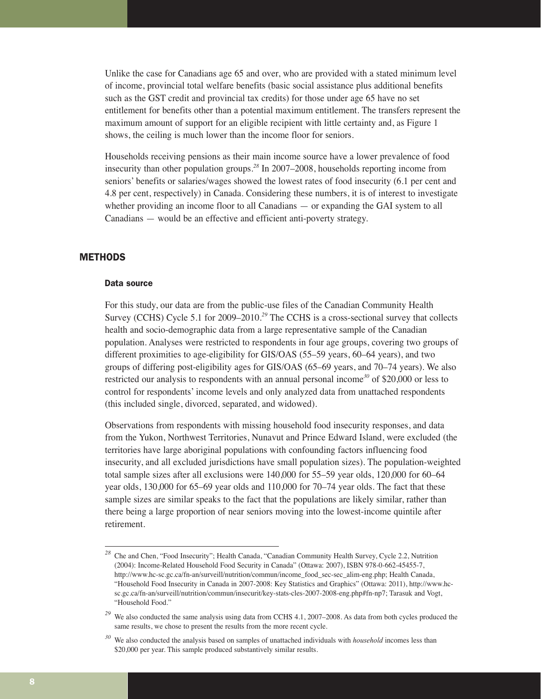Unlike the case for Canadians age 65 and over, who are provided with a stated minimum level of income, provincial total welfare benefits (basic social assistance plus additional benefits such as the GST credit and provincial tax credits) for those under age 65 have no set entitlement for benefits other than a potential maximum entitlement. The transfers represent the maximum amount of support for an eligible recipient with little certainty and, as Figure 1 shows, the ceiling is much lower than the income floor for seniors.

Households receiving pensions as their main income source have a lower prevalence of food insecurity than other population groups.*<sup>28</sup>* In 2007–2008, households reporting income from seniors' benefits or salaries/wages showed the lowest rates of food insecurity (6.1 per cent and 4.8 per cent, respectively) in Canada. Considering these numbers, it is of interest to investigate whether providing an income floor to all Canadians — or expanding the GAI system to all Canadians — would be an effective and efficient anti-poverty strategy.

# **METHODS**

#### Data source

For this study, our data are from the public-use files of the Canadian Community Health Survey (CCHS) Cycle 5.1 for 2009–2010.*<sup>29</sup>* The CCHS is a cross-sectional survey that collects health and socio-demographic data from a large representative sample of the Canadian population. Analyses were restricted to respondents in four age groups, covering two groups of different proximities to age-eligibility for GIS/OAS (55–59 years, 60–64 years), and two groups of differing post-eligibility ages for GIS/OAS (65–69 years, and 70–74 years). We also restricted our analysis to respondents with an annual personal income*<sup>30</sup>* of \$20,000 or less to control for respondents' income levels and only analyzed data from unattached respondents (this included single, divorced, separated, and widowed).

Observations from respondents with missing household food insecurity responses, and data from the Yukon, Northwest Territories, Nunavut and Prince Edward Island, were excluded (the territories have large aboriginal populations with confounding factors influencing food insecurity, and all excluded jurisdictions have small population sizes). The population-weighted total sample sizes after all exclusions were 140,000 for 55–59 year olds, 120,000 for 60–64 year olds, 130,000 for 65–69 year olds and 110,000 for 70–74 year olds. The fact that these sample sizes are similar speaks to the fact that the populations are likely similar, rather than there being a large proportion of near seniors moving into the lowest-income quintile after retirement.

<sup>&</sup>lt;sup>28</sup> Che and Chen, "Food Insecurity"; Health Canada, "Canadian Community Health Survey, Cycle 2.2, Nutrition (2004): Income-Related Household Food Security in Canada" (Ottawa: 2007), ISBN 978-0-662-45455-7, http://www.hc-sc.gc.ca/fn-an/surveill/nutrition/commun/income\_food\_sec-sec\_alim-eng.php; Health Canada, "Household Food Insecurity in Canada in 2007-2008: Key Statistics and Graphics" (Ottawa: 2011), http://www.hcsc.gc.ca/fn-an/surveill/nutrition/commun/insecurit/key-stats-cles-2007-2008-eng.php#fn-np7; Tarasuk and Vogt, "Household Food."

<sup>&</sup>lt;sup>29</sup> We also conducted the same analysis using data from CCHS 4.1, 2007–2008. As data from both cycles produced the same results, we chose to present the results from the more recent cycle.

*<sup>30</sup>* We also conducted the analysis based on samples of unattached individuals with *household* incomes less than \$20,000 per year. This sample produced substantively similar results.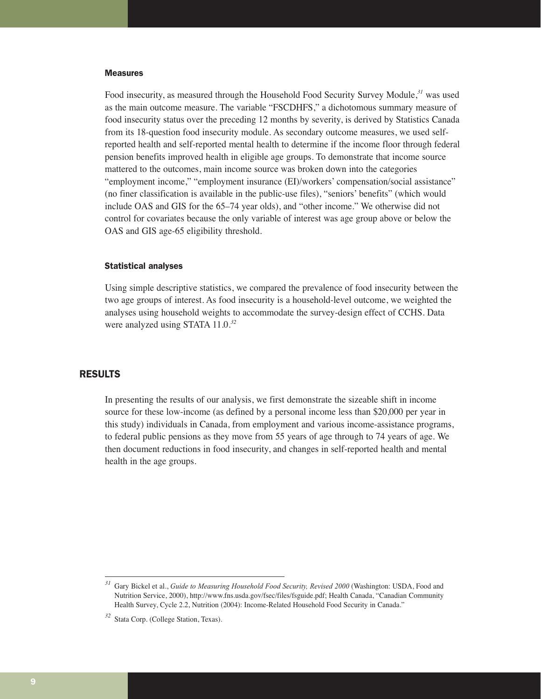#### **Measures**

Food insecurity, as measured through the Household Food Security Survey Module,*<sup>31</sup>* was used as the main outcome measure. The variable "FSCDHFS," a dichotomous summary measure of food insecurity status over the preceding 12 months by severity, is derived by Statistics Canada from its 18-question food insecurity module. As secondary outcome measures, we used selfreported health and self-reported mental health to determine if the income floor through federal pension benefits improved health in eligible age groups. To demonstrate that income source mattered to the outcomes, main income source was broken down into the categories "employment income," "employment insurance (EI)/workers' compensation/social assistance" (no finer classification is available in the public-use files), "seniors' benefits" (which would include OAS and GIS for the 65–74 year olds), and "other income." We otherwise did not control for covariates because the only variable of interest was age group above or below the OAS and GIS age-65 eligibility threshold.

#### Statistical analyses

Using simple descriptive statistics, we compared the prevalence of food insecurity between the two age groups of interest. As food insecurity is a household-level outcome, we weighted the analyses using household weights to accommodate the survey-design effect of CCHS. Data were analyzed using STATA 11.0.*<sup>32</sup>*

### RESULTS

In presenting the results of our analysis, we first demonstrate the sizeable shift in income source for these low-income (as defined by a personal income less than \$20,000 per year in this study) individuals in Canada, from employment and various income-assistance programs, to federal public pensions as they move from 55 years of age through to 74 years of age. We then document reductions in food insecurity, and changes in self-reported health and mental health in the age groups.

*<sup>31</sup>* Gary Bickel et al., *Guide to Measuring Household Food Security, Revised 2000* (Washington: USDA, Food and Nutrition Service, 2000), http://www.fns.usda.gov/fsec/files/fsguide.pdf; Health Canada, "Canadian Community Health Survey, Cycle 2.2, Nutrition (2004): Income-Related Household Food Security in Canada."

*<sup>32</sup>* Stata Corp. (College Station, Texas).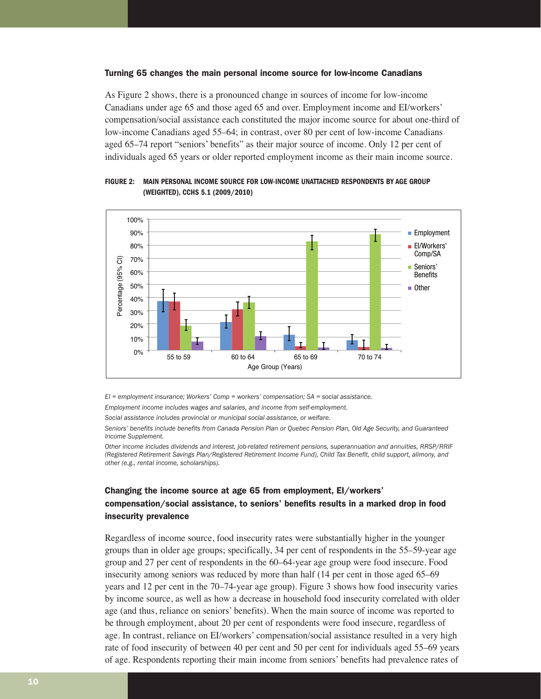#### Turning 65 changes the main personal income source for low-income Canadians

As Figure 2 shows, there is a pronounced change in sources of income for low-income Canadians under age 65 and those aged 65 and over. Employment income and EI/workers' compensation/social assistance each constituted the major income source for about one-third of low-income Canadians aged 55–64; in contrast, over 80 per cent of low-income Canadians aged 65–74 report "seniors' benefits" as their major source of income. Only 12 per cent of individuals aged 65 years or older reported employment income as their main income source.



**FIGURE 2: MAIN PERSONAL INCOME SOURCE FOR LOW-INCOME UNATTACHED RESPONDENTS BY AGE GROUP (WEIGHTED), CCHS 5.1 (2009/2010)**

*EI = employment insurance; Workers' Comp = workers' compensation; SA = social assistance.*

*Employment income includes wages and salaries, and income from self-employment.*

*Social assistance includes provincial or municipal social assistance, or welfare.*

*Seniors' benefits include benefits from Canada Pension Plan or Quebec Pension Plan, Old Age Security, and Guaranteed Income Supplement.*

*Other income includes dividends and interest, job-related retirement pensions, superannuation and annuities, RRSP/RRIF (Registered Retirement Savings Plan/Registered Retirement Income Fund), Child Tax Benefit, child support, alimony, and other (e.g., rental income, scholarships).*

# Changing the income source at age 65 from employment, EI/workers' compensation/social assistance, to seniors' benefits results in a marked drop in food insecurity prevalence

Regardless of income source, food insecurity rates were substantially higher in the younger groups than in older age groups; specifically, 34 per cent of respondents in the 55–59-year age group and 27 per cent of respondents in the 60–64-year age group were food insecure. Food insecurity among seniors was reduced by more than half (14 per cent in those aged 65–69 years and 12 per cent in the 70–74-year age group). Figure 3 shows how food insecurity varies by income source, as well as how a decrease in household food insecurity correlated with older age (and thus, reliance on seniors' benefits). When the main source of income was reported to be through employment, about 20 per cent of respondents were food insecure, regardless of age. In contrast, reliance on EI/workers' compensation/social assistance resulted in a very high rate of food insecurity of between 40 per cent and 50 per cent for individuals aged 55–69 years of age. Respondents reporting their main income from seniors' benefits had prevalence rates of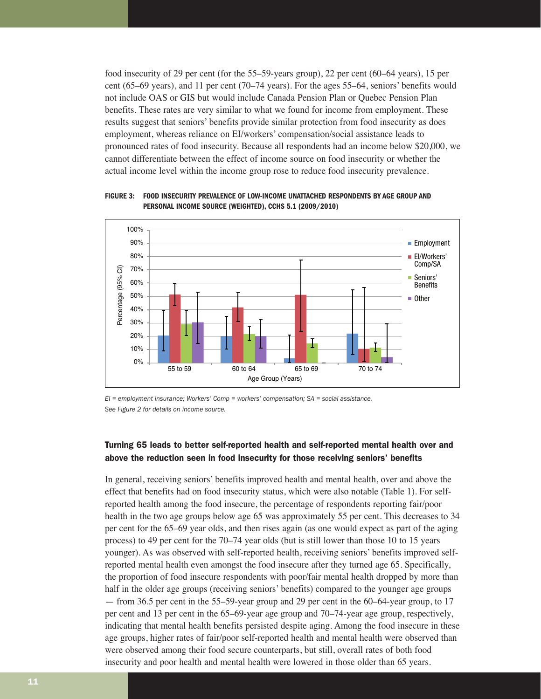food insecurity of 29 per cent (for the 55–59-years group), 22 per cent (60–64 years), 15 per cent (65–69 years), and 11 per cent (70–74 years). For the ages 55–64, seniors' benefits would not include OAS or GIS but would include Canada Pension Plan or Quebec Pension Plan benefits. These rates are very similar to what we found for income from employment. These results suggest that seniors' benefits provide similar protection from food insecurity as does employment, whereas reliance on EI/workers' compensation/social assistance leads to pronounced rates of food insecurity. Because all respondents had an income below \$20,000, we cannot differentiate between the effect of income source on food insecurity or whether the actual income level within the income group rose to reduce food insecurity prevalence.

100% 90% 80% 70% 60% 50% 40% 30% 20% 10%  $\frac{1}{2}$ <br>  $\frac{60}{2}$ <br>  $\frac{60}{2}$ <br>  $\frac{60}{2}$ <br>  $\frac{60}{2}$ <br>  $\frac{60}{2}$ <br>  $\frac{40}{2}$ <br>  $\frac{60}{2}$ <br>  $\frac{20}{2}$ <br>  $\frac{10}{2}$ <br>  $\frac{10}{2}$ ates are very similar to variations' benefits provided interests reliance on EI/words of food insecurity. Because between the effect of lovel within the income group security prevalence of lovel and income source (WEIGHTI<br> Age Group (Years) France from ern ern ern ern ern ern ern ern for an incomponents had an incomponents had an incomponents had an incomponents **BY**<br>
(2009/2010)<br> **COMPONE ASSPONDENTS BY**<br>
(2009/2010)<br> **COMPONE ASSPONDENTS BY**<br>
(2009/2010)<br> **Employment** EI/Workers' Comp/SA ■ Seniors' Benefits ■ Other

**FIGURE 3: FOOD INSECURITY PREVALENCE OF LOW-INCOME UNATTACHED RESPONDENTS BY AGE GROUP AND PERSONAL INCOME SOURCE (WEIGHTED), CCHS 5.1 (2009/2010)**

*EI = employment insurance; Workers' Comp = workers' compensation; SA = social assistance. See Figure 2 for details on income source.* 

# Turning 65 leads to better self-reported health and self-reported mental health over and above the reduction seen in food insecurity for those receiving seniors' benefits

In general, receiving seniors' benefits improved health and mental health, over and above the effect that benefits had on food insecurity status, which were also notable (Table 1). For selfreported health among the food insecure, the percentage of respondents reporting fair/poor health in the two age groups below age 65 was approximately 55 per cent. This decreases to 34 per cent for the 65–69 year olds, and then rises again (as one would expect as part of the aging process) to 49 per cent for the 70–74 year olds (but is still lower than those 10 to 15 years younger). As was observed with self-reported health, receiving seniors' benefits improved selfreported mental health even amongst the food insecure after they turned age 65. Specifically, the proportion of food insecure respondents with poor/fair mental health dropped by more than half in the older age groups (receiving seniors' benefits) compared to the younger age groups — from 36.5 per cent in the 55–59-year group and 29 per cent in the 60–64-year group, to 17 per cent and 13 per cent in the 65–69-year age group and 70–74-year age group, respectively, indicating that mental health benefits persisted despite aging. Among the food insecure in these age groups, higher rates of fair/poor self-reported health and mental health were observed than were observed among their food secure counterparts, but still, overall rates of both food insecurity and poor health and mental health were lowered in those older than 65 years.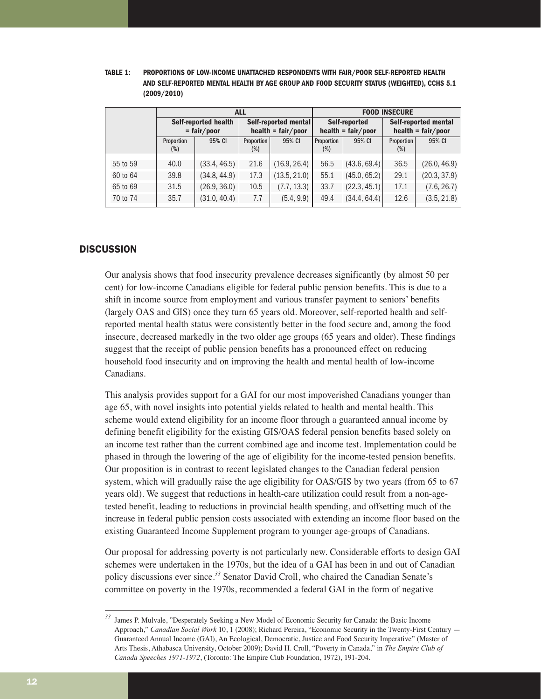| TABLE 1: | <b>PROPORTIONS OF LOW-INCOME UNATTACHED RESPONDENTS WITH FAIR/POOR SELF-REPORTED HEALTH</b> |  |  |  |  |  |
|----------|---------------------------------------------------------------------------------------------|--|--|--|--|--|
|          | AND SELF-REPORTED MENTAL HEALTH BY AGE GROUP AND FOOD SECURITY STATUS (WEIGHTED). CCHS 5.1  |  |  |  |  |  |
|          | (2009/2010)                                                                                 |  |  |  |  |  |

|          | <b>ALL</b>                                   |              |                                 |              | <b>FOOD INSECURE</b>                        |              |                                 |              |
|----------|----------------------------------------------|--------------|---------------------------------|--------------|---------------------------------------------|--------------|---------------------------------|--------------|
|          | <b>Self-reported health</b><br>$=$ fair/poor |              | Self-reported mental            |              | <b>Self-reported</b>                        |              | <b>Self-reported mental</b>     |              |
|          |                                              |              | $\mathbf{h}$ health = fair/poor |              | $\text{health} = \text{fair} / \text{poor}$ |              | $\mathbf{h}$ health = fair/poor |              |
|          | Proportion                                   | 95% CI       | Proportion                      | 95% CI       | Proportion                                  | 95% CI       | Proportion                      | 95% CI       |
|          | $(\%)$                                       |              | $(\%)$                          |              | $(\%)$                                      |              | $(\%)$                          |              |
| 55 to 59 | 40.0                                         | (33.4, 46.5) | 21.6                            | (16.9, 26.4) | 56.5                                        | (43.6, 69.4) | 36.5                            | (26.0, 46.9) |
| 60 to 64 | 39.8                                         | (34.8, 44.9) | 17.3                            | (13.5, 21.0) | 55.1                                        | (45.0, 65.2) | 29.1                            | (20.3, 37.9) |
| 65 to 69 | 31.5                                         | (26.9, 36.0) | 10.5                            | (7.7, 13.3)  | 33.7                                        | (22.3, 45.1) | 17.1                            | (7.6, 26.7)  |
| 70 to 74 | 35.7                                         | (31.0, 40.4) | 7.7                             | (5.4, 9.9)   | 49.4                                        | (34.4, 64.4) | 12.6                            | (3.5, 21.8)  |

### **DISCUSSION**

Our analysis shows that food insecurity prevalence decreases significantly (by almost 50 per cent) for low-income Canadians eligible for federal public pension benefits. This is due to a shift in income source from employment and various transfer payment to seniors' benefits (largely OAS and GIS) once they turn 65 years old. Moreover, self-reported health and selfreported mental health status were consistently better in the food secure and, among the food insecure, decreased markedly in the two older age groups (65 years and older). These findings suggest that the receipt of public pension benefits has a pronounced effect on reducing household food insecurity and on improving the health and mental health of low-income Canadians.

This analysis provides support for a GAI for our most impoverished Canadians younger than age 65, with novel insights into potential yields related to health and mental health. This scheme would extend eligibility for an income floor through a guaranteed annual income by defining benefit eligibility for the existing GIS/OAS federal pension benefits based solely on an income test rather than the current combined age and income test. Implementation could be phased in through the lowering of the age of eligibility for the income-tested pension benefits. Our proposition is in contrast to recent legislated changes to the Canadian federal pension system, which will gradually raise the age eligibility for OAS/GIS by two years (from 65 to 67 years old). We suggest that reductions in health-care utilization could result from a non-agetested benefit, leading to reductions in provincial health spending, and offsetting much of the increase in federal public pension costs associated with extending an income floor based on the existing Guaranteed Income Supplement program to younger age-groups of Canadians.

Our proposal for addressing poverty is not particularly new. Considerable efforts to design GAI schemes were undertaken in the 1970s, but the idea of a GAI has been in and out of Canadian policy discussions ever since.*<sup>33</sup>* Senator David Croll, who chaired the Canadian Senate's committee on poverty in the 1970s, recommended a federal GAI in the form of negative

*<sup>33</sup>* James P. Mulvale, "Desperately Seeking a New Model of Economic Security for Canada: the Basic Income Approach," *Canadian Social Work* 10, 1 (2008); Richard Pereira, "Economic Security in the Twenty-First Century — Guaranteed Annual Income (GAI), An Ecological, Democratic, Justice and Food Security Imperative" (Master of Arts Thesis, Athabasca University, October 2009); David H. Croll, "Poverty in Canada," in *The Empire Club of Canada Speeches 1971-1972*, (Toronto: The Empire Club Foundation, 1972), 191-204.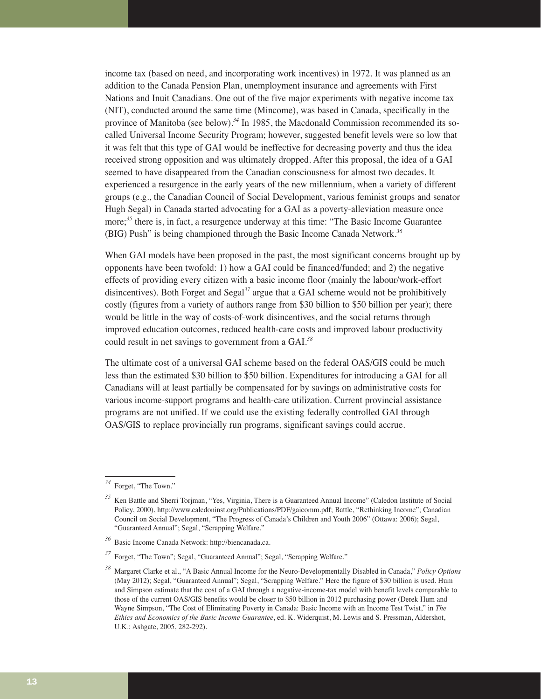income tax (based on need, and incorporating work incentives) in 1972. It was planned as an addition to the Canada Pension Plan, unemployment insurance and agreements with First Nations and Inuit Canadians. One out of the five major experiments with negative income tax (NIT), conducted around the same time (Mincome), was based in Canada, specifically in the province of Manitoba (see below).*<sup>34</sup>* In 1985, the Macdonald Commission recommended its socalled Universal Income Security Program; however, suggested benefit levels were so low that it was felt that this type of GAI would be ineffective for decreasing poverty and thus the idea received strong opposition and was ultimately dropped. After this proposal, the idea of a GAI seemed to have disappeared from the Canadian consciousness for almost two decades. It experienced a resurgence in the early years of the new millennium, when a variety of different groups (e.g., the Canadian Council of Social Development, various feminist groups and senator Hugh Segal) in Canada started advocating for a GAI as a poverty-alleviation measure once more;*<sup>35</sup>* there is, in fact, a resurgence underway at this time: "The Basic Income Guarantee (BIG) Push" is being championed through the Basic Income Canada Network.*<sup>36</sup>*

When GAI models have been proposed in the past, the most significant concerns brought up by opponents have been twofold: 1) how a GAI could be financed/funded; and 2) the negative effects of providing every citizen with a basic income floor (mainly the labour/work-effort disincentives). Both Forget and Segal*<sup>37</sup>* argue that a GAI scheme would not be prohibitively costly (figures from a variety of authors range from \$30 billion to \$50 billion per year); there would be little in the way of costs-of-work disincentives, and the social returns through improved education outcomes, reduced health-care costs and improved labour productivity could result in net savings to government from a GAI.*<sup>38</sup>*

The ultimate cost of a universal GAI scheme based on the federal OAS/GIS could be much less than the estimated \$30 billion to \$50 billion. Expenditures for introducing a GAI for all Canadians will at least partially be compensated for by savings on administrative costs for various income-support programs and health-care utilization. Current provincial assistance programs are not unified. If we could use the existing federally controlled GAI through OAS/GIS to replace provincially run programs, significant savings could accrue.

*<sup>34</sup>* Forget, "The Town."

*<sup>35</sup>* Ken Battle and Sherri Torjman, "Yes, Virginia, There is a Guaranteed Annual Income" (Caledon Institute of Social Policy, 2000), http://www.caledoninst.org/Publications/PDF/gaicomm.pdf; Battle, "Rethinking Income"; Canadian Council on Social Development, "The Progress of Canada's Children and Youth 2006" (Ottawa: 2006); Segal, "Guaranteed Annual"; Segal, "Scrapping Welfare."

*<sup>36</sup>* Basic Income Canada Network: http://biencanada.ca.

<sup>&</sup>lt;sup>37</sup> Forget, "The Town"; Segal, "Guaranteed Annual"; Segal, "Scrapping Welfare."

*<sup>38</sup>* Margaret Clarke et al., "A Basic Annual Income for the Neuro-Developmentally Disabled in Canada," *Policy Options* (May 2012); Segal, "Guaranteed Annual"; Segal, "Scrapping Welfare." Here the figure of \$30 billion is used. Hum and Simpson estimate that the cost of a GAI through a negative-income-tax model with benefit levels comparable to those of the current OAS/GIS benefits would be closer to \$50 billion in 2012 purchasing power (Derek Hum and Wayne Simpson, "The Cost of Eliminating Poverty in Canada: Basic Income with an Income Test Twist," in *The Ethics and Economics of the Basic Income Guarantee*, ed. K. Widerquist, M. Lewis and S. Pressman, Aldershot, U.K.: Ashgate, 2005, 282-292).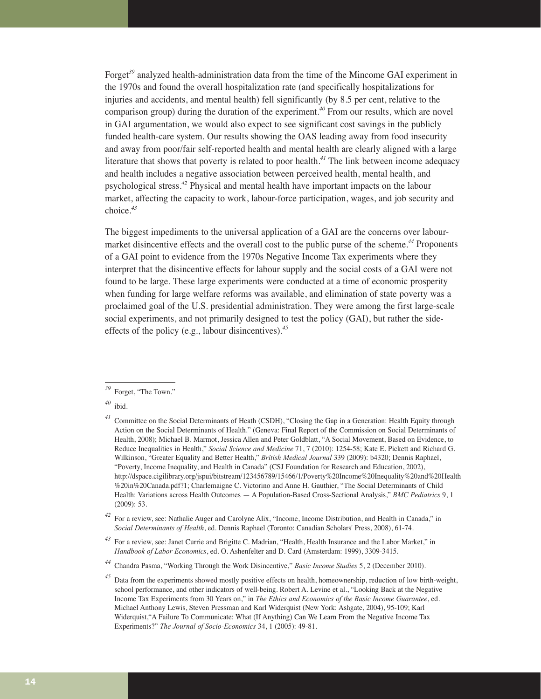Forget*<sup>39</sup>* analyzed health-administration data from the time of the Mincome GAI experiment in the 1970s and found the overall hospitalization rate (and specifically hospitalizations for injuries and accidents, and mental health) fell significantly (by 8.5 per cent, relative to the comparison group) during the duration of the experiment.*<sup>40</sup>* From our results, which are novel in GAI argumentation, we would also expect to see significant cost savings in the publicly funded health-care system. Our results showing the OAS leading away from food insecurity and away from poor/fair self-reported health and mental health are clearly aligned with a large literature that shows that poverty is related to poor health.*<sup>41</sup>* The link between income adequacy and health includes a negative association between perceived health, mental health, and psychological stress.*<sup>42</sup>* Physical and mental health have important impacts on the labour market, affecting the capacity to work, labour-force participation, wages, and job security and choice.*<sup>43</sup>*

The biggest impediments to the universal application of a GAI are the concerns over labourmarket disincentive effects and the overall cost to the public purse of the scheme.*<sup>44</sup>* Proponents of a GAI point to evidence from the 1970s Negative Income Tax experiments where they interpret that the disincentive effects for labour supply and the social costs of a GAI were not found to be large. These large experiments were conducted at a time of economic prosperity when funding for large welfare reforms was available, and elimination of state poverty was a proclaimed goal of the U.S. presidential administration. They were among the first large-scale social experiments, and not primarily designed to test the policy (GAI), but rather the sideeffects of the policy (e.g., labour disincentives).*<sup>45</sup>*

Forget, "The Town."

*<sup>40</sup>* ibid.

*<sup>41</sup>* Committee on the Social Determinants of Heath (CSDH), "Closing the Gap in a Generation: Health Equity through Action on the Social Determinants of Health." (Geneva: Final Report of the Commission on Social Determinants of Health, 2008); Michael B. Marmot, Jessica Allen and Peter Goldblatt, "A Social Movement, Based on Evidence, to Reduce Inequalities in Health," *Social Science and Medicine* 71, 7 (2010): 1254-58; Kate E. Pickett and Richard G. Wilkinson, "Greater Equality and Better Health," *British Medical Journal* 339 (2009): b4320; Dennis Raphael, "Poverty, Income Inequality, and Health in Canada" (CSJ Foundation for Research and Education, 2002), http://dspace.cigilibrary.org/jspui/bitstream/123456789/15466/1/Poverty%20Income%20Inequality%20and%20Health %20in%20Canada.pdf?1; Charlemaigne C. Victorino and Anne H. Gauthier, "The Social Determinants of Child Health: Variations across Health Outcomes — A Population-Based Cross-Sectional Analysis," *BMC Pediatrics* 9, 1 (2009): 53.

*<sup>42</sup>* For a review, see: Nathalie Auger and Carolyne Alix, "Income, Income Distribution, and Health in Canada," in *Social Determinants of Health*, ed. Dennis Raphael (Toronto: Canadian Scholars' Press, 2008), 61-74.

*<sup>43</sup>* For a review, see: Janet Currie and Brigitte C. Madrian, "Health, Health Insurance and the Labor Market," in *Handbook of Labor Economics*, ed. O. Ashenfelter and D. Card (Amsterdam: 1999), 3309-3415.

*<sup>44</sup>* Chandra Pasma, "Working Through the Work Disincentive," *Basic Income Studies* 5, 2 (December 2010).

*<sup>45</sup>* Data from the experiments showed mostly positive effects on health, homeownership, reduction of low birth-weight, school performance, and other indicators of well-being. Robert A. Levine et al., "Looking Back at the Negative Income Tax Experiments from 30 Years on," in *The Ethics and Economics of the Basic Income Guarantee*, ed. Michael Anthony Lewis, Steven Pressman and Karl Widerquist (New York: Ashgate, 2004), 95-109; Karl Widerquist,"A Failure To Communicate: What (If Anything) Can We Learn From the Negative Income Tax Experiments?" *The Journal of Socio-Economics* 34, 1 (2005): 49-81.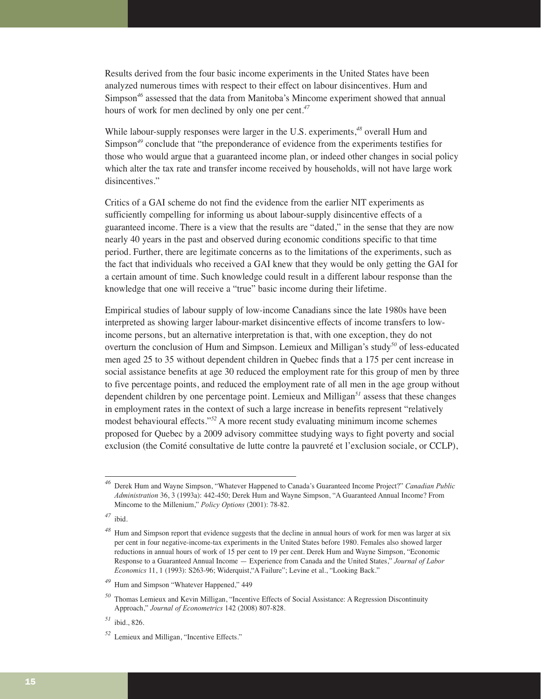Results derived from the four basic income experiments in the United States have been analyzed numerous times with respect to their effect on labour disincentives. Hum and Simpson*<sup>46</sup>* assessed that the data from Manitoba's Mincome experiment showed that annual hours of work for men declined by only one per cent.*<sup>47</sup>*

While labour-supply responses were larger in the U.S. experiments,*<sup>48</sup>* overall Hum and Simpson*<sup>49</sup>* conclude that "the preponderance of evidence from the experiments testifies for those who would argue that a guaranteed income plan, or indeed other changes in social policy which alter the tax rate and transfer income received by households, will not have large work disincentives."

Critics of a GAI scheme do not find the evidence from the earlier NIT experiments as sufficiently compelling for informing us about labour-supply disincentive effects of a guaranteed income. There is a view that the results are "dated," in the sense that they are now nearly 40 years in the past and observed during economic conditions specific to that time period. Further, there are legitimate concerns as to the limitations of the experiments, such as the fact that individuals who received a GAI knew that they would be only getting the GAI for a certain amount of time. Such knowledge could result in a different labour response than the knowledge that one will receive a "true" basic income during their lifetime.

Empirical studies of labour supply of low-income Canadians since the late 1980s have been interpreted as showing larger labour-market disincentive effects of income transfers to lowincome persons, but an alternative interpretation is that, with one exception, they do not overturn the conclusion of Hum and Simpson. Lemieux and Milligan's study*<sup>50</sup>* of less-educated men aged 25 to 35 without dependent children in Quebec finds that a 175 per cent increase in social assistance benefits at age 30 reduced the employment rate for this group of men by three to five percentage points, and reduced the employment rate of all men in the age group without dependent children by one percentage point. Lemieux and Milligan*<sup>51</sup>* assess that these changes in employment rates in the context of such a large increase in benefits represent "relatively modest behavioural effects."*<sup>52</sup>* A more recent study evaluating minimum income schemes proposed for Quebec by a 2009 advisory committee studying ways to fight poverty and social exclusion (the Comité consultative de lutte contre la pauvreté et l'exclusion sociale, or CCLP),

*<sup>47</sup>* ibid.

*<sup>46</sup>* Derek Hum and Wayne Simpson, "Whatever Happened to Canada's Guaranteed Income Project?" *Canadian Public Administration* 36, 3 (1993a): 442-450; Derek Hum and Wayne Simpson, "A Guaranteed Annual Income? From Mincome to the Millenium," *Policy Options* (2001): 78-82.

*<sup>48</sup>* Hum and Simpson report that evidence suggests that the decline in annual hours of work for men was larger at six per cent in four negative-income-tax experiments in the United States before 1980. Females also showed larger reductions in annual hours of work of 15 per cent to 19 per cent. Derek Hum and Wayne Simpson, "Economic Response to a Guaranteed Annual Income — Experience from Canada and the United States," *Journal of Labor Economics* 11, 1 (1993): S263-96; Widerquist,"A Failure"; Levine et al., "Looking Back."

*<sup>49</sup>* Hum and Simpson "Whatever Happened," 449

*<sup>50</sup>* Thomas Lemieux and Kevin Milligan, "Incentive Effects of Social Assistance: A Regression Discontinuity Approach," *Journal of Econometrics* 142 (2008) 807-828.

*<sup>51</sup>* ibid., 826.

*<sup>52</sup>* Lemieux and Milligan, "Incentive Effects."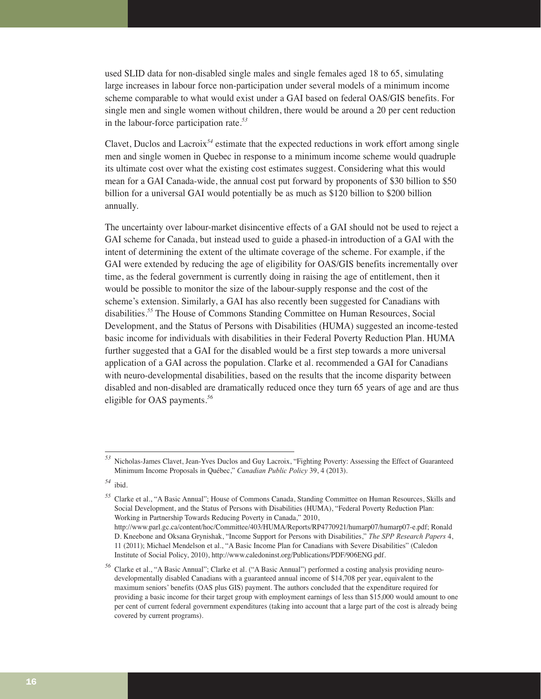used SLID data for non-disabled single males and single females aged 18 to 65, simulating large increases in labour force non-participation under several models of a minimum income scheme comparable to what would exist under a GAI based on federal OAS/GIS benefits. For single men and single women without children, there would be around a 20 per cent reduction in the labour-force participation rate.*<sup>53</sup>*

Clavet, Duclos and Lacroix*<sup>54</sup>* estimate that the expected reductions in work effort among single men and single women in Quebec in response to a minimum income scheme would quadruple its ultimate cost over what the existing cost estimates suggest. Considering what this would mean for a GAI Canada-wide, the annual cost put forward by proponents of \$30 billion to \$50 billion for a universal GAI would potentially be as much as \$120 billion to \$200 billion annually.

The uncertainty over labour-market disincentive effects of a GAI should not be used to reject a GAI scheme for Canada, but instead used to guide a phased-in introduction of a GAI with the intent of determining the extent of the ultimate coverage of the scheme. For example, if the GAI were extended by reducing the age of eligibility for OAS/GIS benefits incrementally over time, as the federal government is currently doing in raising the age of entitlement, then it would be possible to monitor the size of the labour-supply response and the cost of the scheme's extension. Similarly, a GAI has also recently been suggested for Canadians with disabilities.*<sup>55</sup>* The House of Commons Standing Committee on Human Resources, Social Development, and the Status of Persons with Disabilities (HUMA) suggested an income-tested basic income for individuals with disabilities in their Federal Poverty Reduction Plan. HUMA further suggested that a GAI for the disabled would be a first step towards a more universal application of a GAI across the population. Clarke et al. recommended a GAI for Canadians with neuro-developmental disabilities, based on the results that the income disparity between disabled and non-disabled are dramatically reduced once they turn 65 years of age and are thus eligible for OAS payments.*<sup>56</sup>*

*<sup>53</sup>* Nicholas-James Clavet, Jean-Yves Duclos and Guy Lacroix, "Fighting Poverty: Assessing the Effect of Guaranteed Minimum Income Proposals in Québec," *Canadian Public Policy* 39, 4 (2013).

*<sup>54</sup>* ibid.

*<sup>55</sup>* Clarke et al., "A Basic Annual"; House of Commons Canada, Standing Committee on Human Resources, Skills and Social Development, and the Status of Persons with Disabilities (HUMA), "Federal Poverty Reduction Plan: Working in Partnership Towards Reducing Poverty in Canada," 2010, http://www.parl.gc.ca/content/hoc/Committee/403/HUMA/Reports/RP4770921/humarp07/humarp07-e.pdf; Ronald D. Kneebone and Oksana Grynishak, "Income Support for Persons with Disabilities," *The SPP Research Papers* 4, 11 (2011); Michael Mendelson et al., "A Basic Income Plan for Canadians with Severe Disabilities" (Caledon Institute of Social Policy, 2010), http://www.caledoninst.org/Publications/PDF/906ENG.pdf.

*<sup>56</sup>* Clarke et al., "A Basic Annual"; Clarke et al. ("A Basic Annual") performed a costing analysis providing neurodevelopmentally disabled Canadians with a guaranteed annual income of \$14,708 per year, equivalent to the maximum seniors' benefits (OAS plus GIS) payment. The authors concluded that the expenditure required for providing a basic income for their target group with employment earnings of less than \$15,000 would amount to one per cent of current federal government expenditures (taking into account that a large part of the cost is already being covered by current programs).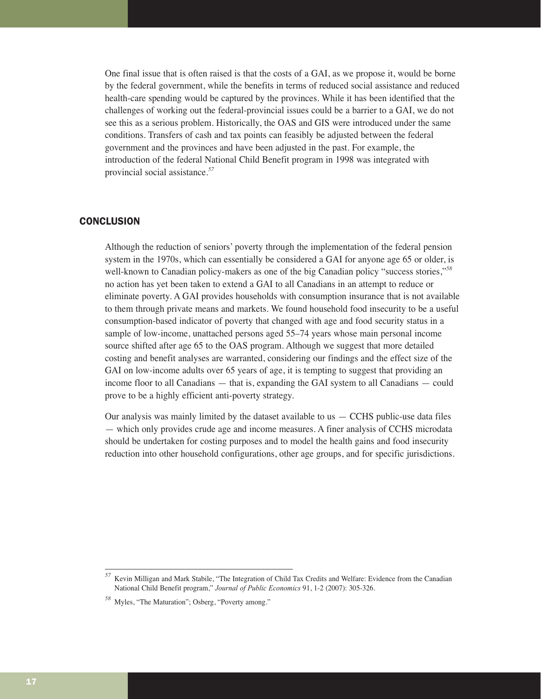One final issue that is often raised is that the costs of a GAI, as we propose it, would be borne by the federal government, while the benefits in terms of reduced social assistance and reduced health-care spending would be captured by the provinces. While it has been identified that the challenges of working out the federal-provincial issues could be a barrier to a GAI, we do not see this as a serious problem. Historically, the OAS and GIS were introduced under the same conditions. Transfers of cash and tax points can feasibly be adjusted between the federal government and the provinces and have been adjusted in the past. For example, the introduction of the federal National Child Benefit program in 1998 was integrated with provincial social assistance.*<sup>57</sup>*

#### **CONCLUSION**

Although the reduction of seniors' poverty through the implementation of the federal pension system in the 1970s, which can essentially be considered a GAI for anyone age 65 or older, is well-known to Canadian policy-makers as one of the big Canadian policy "success stories,"*<sup>58</sup>* no action has yet been taken to extend a GAI to all Canadians in an attempt to reduce or eliminate poverty. A GAI provides households with consumption insurance that is not available to them through private means and markets. We found household food insecurity to be a useful consumption-based indicator of poverty that changed with age and food security status in a sample of low-income, unattached persons aged 55–74 years whose main personal income source shifted after age 65 to the OAS program. Although we suggest that more detailed costing and benefit analyses are warranted, considering our findings and the effect size of the GAI on low-income adults over 65 years of age, it is tempting to suggest that providing an income floor to all Canadians — that is, expanding the GAI system to all Canadians — could prove to be a highly efficient anti-poverty strategy.

Our analysis was mainly limited by the dataset available to us  $-$  CCHS public-use data files — which only provides crude age and income measures. A finer analysis of CCHS microdata should be undertaken for costing purposes and to model the health gains and food insecurity reduction into other household configurations, other age groups, and for specific jurisdictions.

*<sup>57</sup>* Kevin Milligan and Mark Stabile, "The Integration of Child Tax Credits and Welfare: Evidence from the Canadian National Child Benefit program," *Journal of Public Economics* 91, 1-2 (2007): 305-326.

*<sup>58</sup>* Myles, "The Maturation"; Osberg, "Poverty among."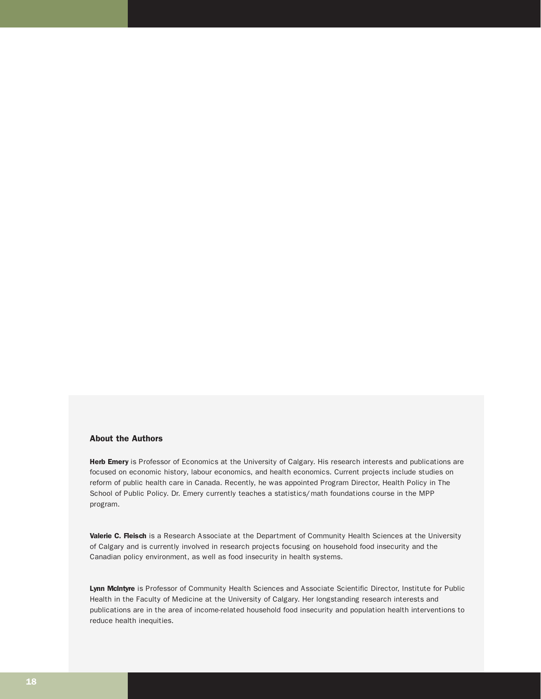#### About the Authors

Herb Emery is Professor of Economics at the University of Calgary. His research interests and publications are focused on economic history, labour economics, and health economics. Current projects include studies on reform of public health care in Canada. Recently, he was appointed Program Director, Health Policy in The School of Public Policy. Dr. Emery currently teaches a statistics/math foundations course in the MPP program.

Valerie C. Fleisch is a Research Associate at the Department of Community Health Sciences at the University of Calgary and is currently involved in research projects focusing on household food insecurity and the Canadian policy environment, as well as food insecurity in health systems.

Lynn McIntyre is Professor of Community Health Sciences and Associate Scientific Director, Institute for Public Health in the Faculty of Medicine at the University of Calgary. Her longstanding research interests and publications are in the area of income-related household food insecurity and population health interventions to reduce health inequities.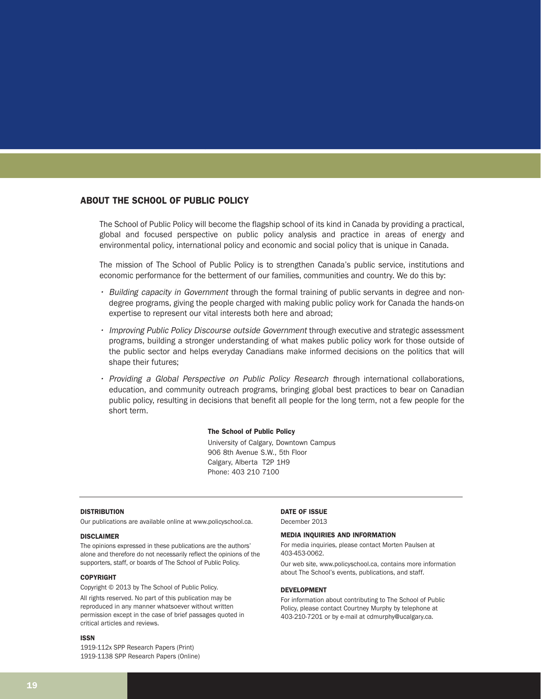#### ABOUT THE SCHOOL OF PUBLIC POLICY

The School of Public Policy will become the flagship school of its kind in Canada by providing a practical, global and focused perspective on public policy analysis and practice in areas of energy and environmental policy, international policy and economic and social policy that is unique in Canada.

The mission of The School of Public Policy is to strengthen Canada's public service, institutions and economic performance for the betterment of our families, communities and country. We do this by:

- Building capacity in Government through the formal training of public servants in degree and nondegree programs, giving the people charged with making public policy work for Canada the hands-on expertise to represent our vital interests both here and abroad;
- Improving Public Policy Discourse outside Government through executive and strategic assessment programs, building a stronger understanding of what makes public policy work for those outside of the public sector and helps everyday Canadians make informed decisions on the politics that will shape their futures;
- Providing a Global Perspective on Public Policy Research through international collaborations, education, and community outreach programs, bringing global best practices to bear on Canadian public policy, resulting in decisions that benefit all people for the long term, not a few people for the short term.

#### The School of Public Policy

University of Calgary, Downtown Campus 906 8th Avenue S.W., 5th Floor Calgary, Alberta T2P 1H9 Phone: 403 210 7100

#### **DISTRIBUTION**

Our publications are available online at www.policyschool.ca.

#### DISCLAIMER

The opinions expressed in these publications are the authors' alone and therefore do not necessarily reflect the opinions of the supporters, staff, or boards of The School of Public Policy.

#### **COPYRIGHT**

Copyright © 2013 by The School of Public Policy.

All rights reserved. No part of this publication may be reproduced in any manner whatsoever without written permission except in the case of brief passages quoted in critical articles and reviews.

#### ISSN

1919-112x SPP Research Papers (Print) 1919-1138 SPP Research Papers (Online) DATE OF ISSUE December 2013

#### MEDIA INQUIRIES AND INFORMATION

For media inquiries, please contact Morten Paulsen at 403-453-0062.

Our web site, www.policyschool.ca, contains more information about The School's events, publications, and staff.

#### DEVELOPMENT

For information about contributing to The School of Public Policy, please contact Courtney Murphy by telephone at 403-210-7201 or by e-mail at cdmurphy@ucalgary.ca.